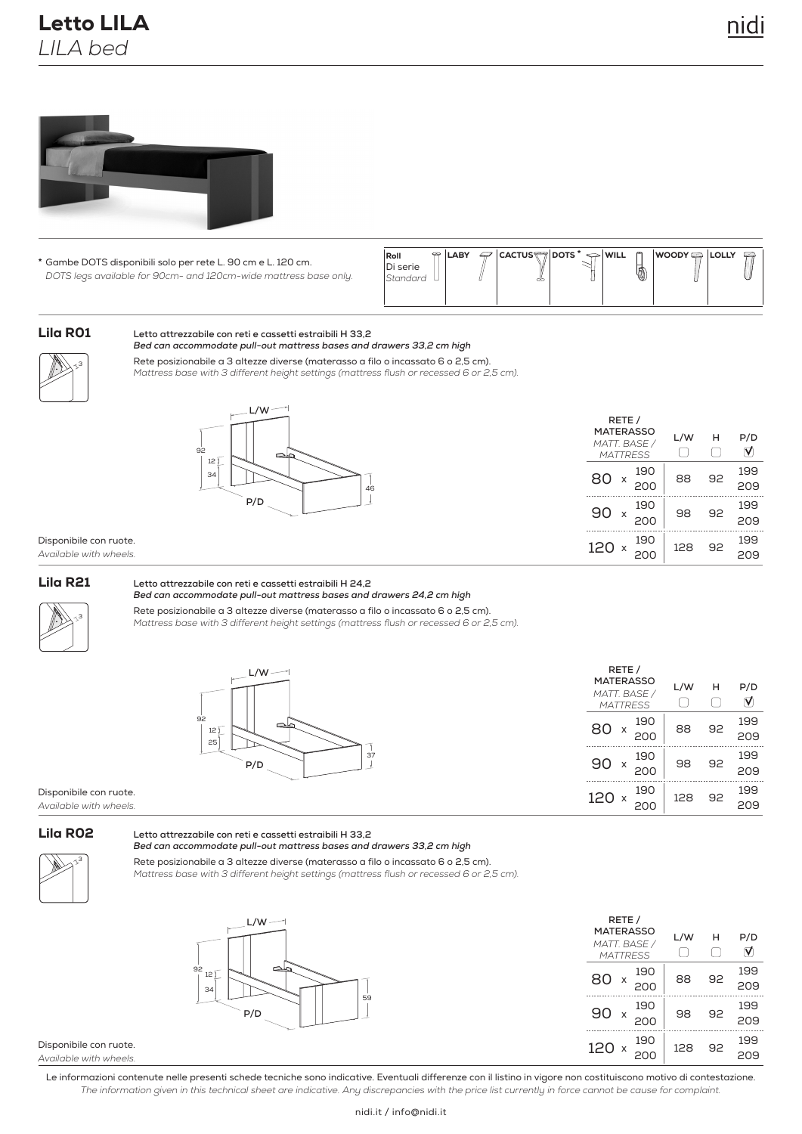# Letto LILA *LILA bed*



**\*** Di serie Gambe DOTS disponibili solo per rete L. 90 cm e L. 120 cm. *DOTS legs available for 90cm- and 120cm-wide mattress base only.* 

| $P$ ILABY<br>Roll<br>Di serie<br><i>Standard</i> | ~ | $\mathcal{P}$   CACTUS   DOTS $^* \Leftrightarrow$ WILL | O | <b>WOODY ŞA LOLLY</b> | <b>POST</b> |
|--------------------------------------------------|---|---------------------------------------------------------|---|-----------------------|-------------|
|--------------------------------------------------|---|---------------------------------------------------------|---|-----------------------|-------------|

## Lila R01

#### **Letto attrezzabile con reti e cassetti estraibili H 33,2** *Bed can accommodate pull-out mattress bases and drawers 33,2 cm high*

3

Rete posizionabile a 3 altezze diverse (materasso a filo o incassato 6 o 2,5 cm). *Mattress base with 3 different height settings (mattress flush or recessed 6 or 2,5 cm).*



|    | RETE /<br><b>MATERASSO</b><br>MATT. BASE /<br><b>MATTRESS</b> | L/W | н  | P/D<br>∇   |
|----|---------------------------------------------------------------|-----|----|------------|
| 46 | 190<br>80<br>X<br>200                                         | 88  | 92 | 199<br>209 |
|    | 190<br>90<br>X<br>200                                         | 98  | 92 | 199<br>209 |
|    | 190<br>120<br>X<br>200                                        | 128 | 92 | 199<br>209 |

#### Disponibile con ruote. *Available with wheels.*

#### Lila R21

#### **Letto attrezzabile con reti e cassetti estraibili H 24,2** *Bed can accommodate pull-out mattress bases and drawers 24,2 cm high*



Rete posizionabile a 3 altezze diverse (materasso a filo o incassato 6 o 2,5 cm). *Mattress base with 3 different height settings (mattress flush or recessed 6 or 2,5 cm).*



|     | RETE /<br><b>MATERASSO</b><br>MATT. BASE /<br><b>MATTRESS</b> | L/W | н  | P/D        |
|-----|---------------------------------------------------------------|-----|----|------------|
| 80  | 190<br>x<br>200                                               | 88  | 92 | 199<br>209 |
| 90  | 190<br>x<br>200                                               | 98  | 92 | 199<br>209 |
| 120 | 190<br>X                                                      | 128 | 92 | 199        |

Disponibile con ruote. *Available with wheels.*

### Lila R02

#### **Letto attrezzabile con reti e cassetti estraibili H 33,2** *Bed can accommodate pull-out mattress bases and drawers 33,2 cm high*



**L/W**

Rete posizionabile a 3 altezze diverse (materasso a filo o incassato 6 o 2,5 cm).

*Mattress base with 3 different height settings (mattress flush or recessed 6 or 2,5 cm).*



| RETE /<br><b>MATERASSO</b><br>MATT. BASE /<br><b>MATTRESS</b> |          |            | L/W | н  | P/D         |
|---------------------------------------------------------------|----------|------------|-----|----|-------------|
| 80                                                            | X        | 190<br>200 | 88  | 92 | 199<br>209  |
| 90                                                            | X        | 190<br>200 | 98  | 92 | 199<br>20.9 |
| 120                                                           | $\times$ | 190        | 128 | 92 | 199         |

Disponibile con ruote. *Available with wheels.*

Le informazioni contenute nelle presenti schede tecniche sono indicative. Eventuali differenze con il listino in vigore non costituiscono motivo di contestazione. *The information given in this technical sheet are indicative. Any discrepancies with the price list currently in force cannot be cause for complaint.*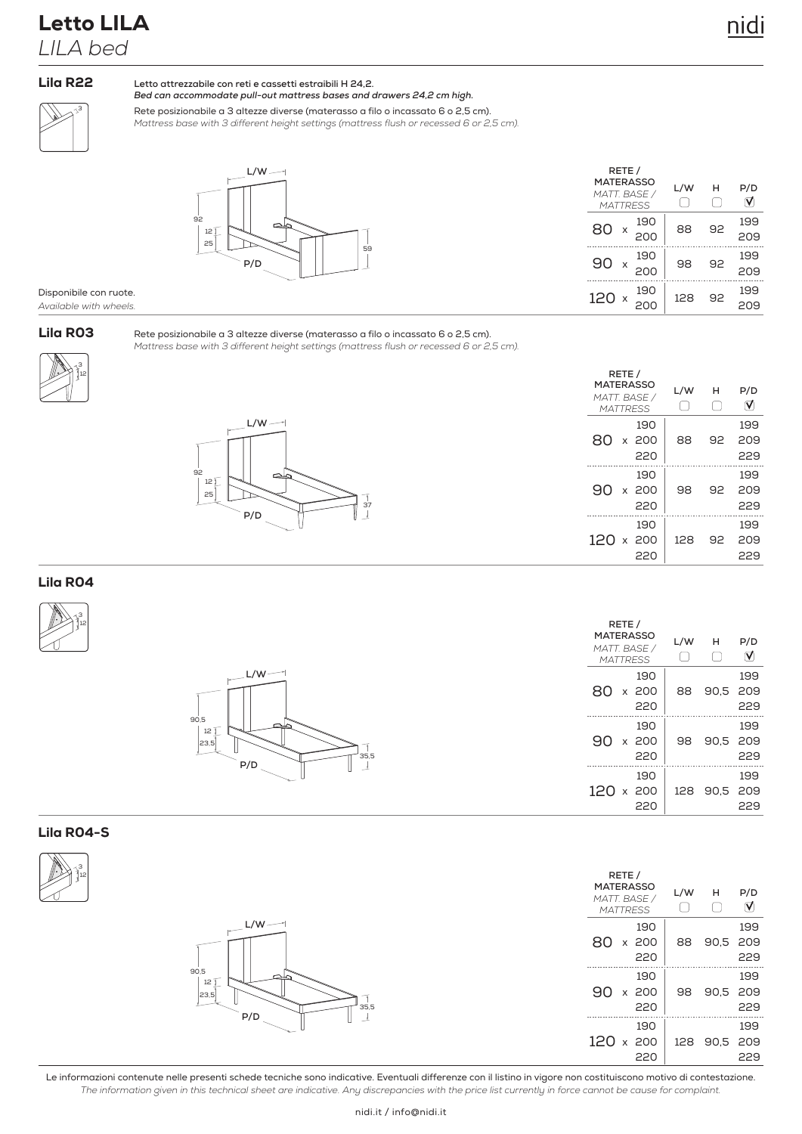# Letto LILA *LILA bed*

### Lila R22

**Letto attrezzabile con reti e cassetti estraibili H 24,2.** *Bed can accommodate pull-out mattress bases and drawers 24,2 cm high.*

3

Rete posizionabile a 3 altezze diverse (materasso a filo o incassato 6 o 2,5 cm). *Mattress base with 3 different height settings (mattress flush or recessed 6 or 2,5 cm).*



| RETE /<br><b>MATERASSO</b><br>MATT. BASE /<br><b>MATTRESS</b> | L/W | н  | P/D        |
|---------------------------------------------------------------|-----|----|------------|
| 190<br>80<br>X<br>200                                         | 88  | 92 | 199<br>209 |
| 190<br>റ്ററ<br>X<br>200                                       | 98  | 92 | 199<br>209 |
| 190<br>120x<br>$\cap$                                         | 128 | 92 | 199        |

#### Disponibile con ruote. *Available with wheels.*

## Lila R03

Rete posizionabile a 3 altezze diverse (materasso a filo o incassato 6 o 2,5 cm). *Mattress base with 3 different height settings (mattress flush or recessed 6 or 2,5 cm).*





|           | RETE /<br><b>MATERASSO</b><br>MATT. BASE /<br><b>MATTRESS</b> |                     |     | н  | P/D               |
|-----------|---------------------------------------------------------------|---------------------|-----|----|-------------------|
| 80        |                                                               | 190<br>x 200<br>220 | 88  | 92 | 199<br>209<br>229 |
| 90        |                                                               | 190<br>x 200<br>220 | 98  | 92 | 199<br>209<br>229 |
| 120 x 200 |                                                               | 190<br>220          | 128 | 92 | 199<br>209<br>229 |

## Lila R04





| RETE /<br><b>MATERASSO</b><br>MATT. BASE /<br><b>MATTRESS</b> |                     | L/W | н        | P/D               |
|---------------------------------------------------------------|---------------------|-----|----------|-------------------|
| 80                                                            | 190<br>x 200<br>220 | 88  | 90.5     | 199<br>209<br>229 |
| 90                                                            | 190<br>x 200<br>220 | 98  | 90.5 209 | 199<br>229        |
| 120 x 200                                                     | 190<br>220          | 128 | 90.5 209 | 199<br>229        |

**RETE /**

98

128 90,5 209

90,5 209

**L/W H P/D**

 $\Box$ 

229

199

229

199

229

199

 $\triangledown$ 

90,5 209

## Lila R04-S



|                                   | <b>MATERASSO</b><br>MATT. BASE /<br><b>MATTRESS</b> | L/W |
|-----------------------------------|-----------------------------------------------------|-----|
| $L/W$ —                           | 190<br>80<br>x 200<br>220                           | 88  |
| 90,5<br>12<br>23,5<br>35,5<br>P/D | 190<br>90<br>x 200<br>220<br>.                      | 98  |
|                                   | 190<br>$120 \times 200$<br>220                      | 128 |

Le informazioni contenute nelle presenti schede tecniche sono indicative. Eventuali differenze con il listino in vigore non costituiscono motivo di contestazione. *The information given in this technical sheet are indicative. Any discrepancies with the price list currently in force cannot be cause for complaint.*